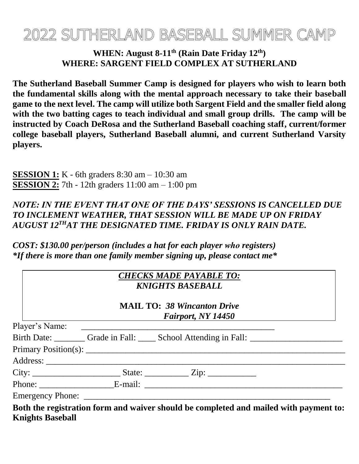# 2022 SUTHERLAND BASEBALL SUMMER CAMP

### **WHEN: August 8-11 th (Rain Date Friday 12th) WHERE: SARGENT FIELD COMPLEX AT SUTHERLAND**

**The Sutherland Baseball Summer Camp is designed for players who wish to learn both the fundamental skills along with the mental approach necessary to take their baseball game to the next level. The camp will utilize both Sargent Field and the smaller field along with the two batting cages to teach individual and small group drills. The camp will be instructed by Coach DeRosa and the Sutherland Baseball coaching staff, current/former college baseball players, Sutherland Baseball alumni, and current Sutherland Varsity players.** 

**SESSION 1:** K - 6th graders 8:30 am – 10:30 am **SESSION 2:** 7th - 12th graders 11:00 am – 1:00 pm

## *NOTE: IN THE EVENT THAT ONE OF THE DAYS' SESSIONS IS CANCELLED DUE TO INCLEMENT WEATHER, THAT SESSION WILL BE MADE UP ON FRIDAY AUGUST 12THAT THE DESIGNATED TIME. FRIDAY IS ONLY RAIN DATE.*

*COST: \$130.00 per/person (includes a hat for each player who registers) \*If there is more than one family member signing up, please contact me\**

| <b>CHECKS MADE PAYABLE TO:</b> |  |  |
|--------------------------------|--|--|
| <b>KNIGHTS BASEBALL</b>        |  |  |

**MAIL TO:** *38 Wincanton Drive Fairport, NY 14450*

|  | Birth Date: Grade in Fall: School Attending in Fall: ___________________________     |  |
|--|--------------------------------------------------------------------------------------|--|
|  |                                                                                      |  |
|  |                                                                                      |  |
|  |                                                                                      |  |
|  |                                                                                      |  |
|  |                                                                                      |  |
|  | Doth the registration form and waiver should be completed and mailed with payment to |  |

**Both the registration form and waiver should be completed and mailed with payment to: Knights Baseball**